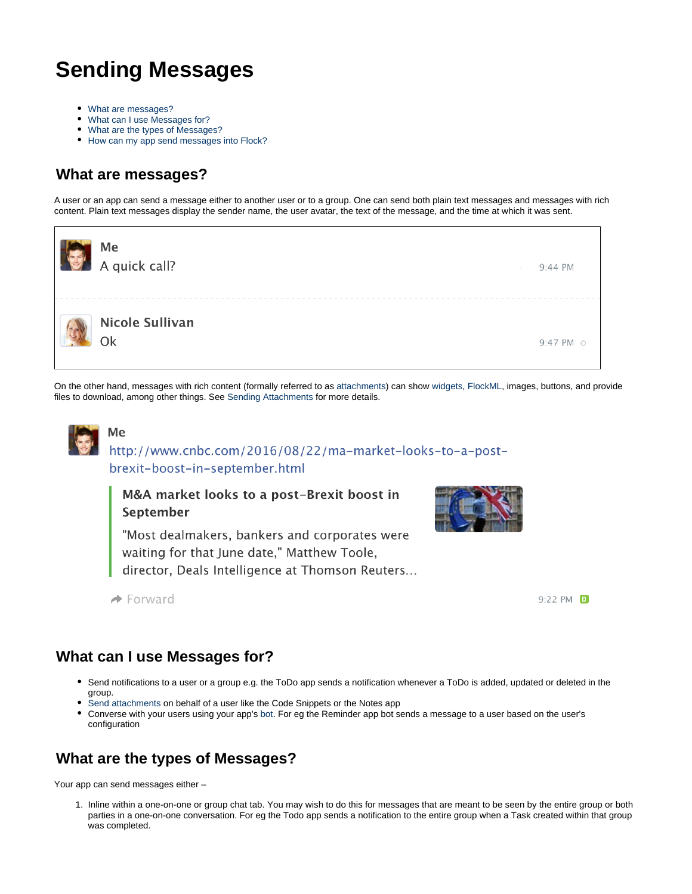# **Sending Messages**

- [What are messages?](#page-0-0)
- [What can I use Messages for?](#page-0-1)
- [What are the types of Messages?](#page-0-2)
- [How can my app send messages into Flock?](#page-1-0)

### <span id="page-0-0"></span>**What are messages?**

A user or an app can send a message either to another user or to a group. One can send both plain text messages and messages with rich content. Plain text messages display the sender name, the user avatar, the text of the message, and the time at which it was sent.



On the other hand, messages with rich content (formally referred to as [attachments](https://docs.flock.com/display/flockos/Attachment)) can show [widgets](https://docs.flock.com/display/flockos/Widgets), [FlockML](https://docs.flock.com/display/flockos/FlockML), images, buttons, and provide files to download, among other things. See [Sending Attachments](https://docs.flock.com/display/flockos/Sending+Attachments) for more details.



#### Me http://www.cnbc.com/2016/08/22/ma-market-looks-to-a-postbrexit-boost-in-september.html

M&A market looks to a post-Brexit boost in September



"Most dealmakers, bankers and corporates were waiting for that June date," Matthew Toole, director, Deals Intelligence at Thomson Reuters...



#### $\rightarrow$  Forward

### <span id="page-0-1"></span>**What can I use Messages for?**

- Send notifications to a user or a group e.g. the ToDo app sends a notification whenever a ToDo is added, updated or deleted in the group.
- [Send attachments](https://docs.flock.com/display/flockos/Sending+Attachments) on behalf of a user like the Code Snippets or the Notes app
- Converse with your users using your app's [bot.](https://docs.flock.com/display/flockos/Bots) For eg the Reminder app bot sends a message to a user based on the user's configuration

## <span id="page-0-2"></span>**What are the types of Messages?**

Your app can send messages either –

1. Inline within a one-on-one or group chat tab. You may wish to do this for messages that are meant to be seen by the entire group or both parties in a one-on-one conversation. For eg the Todo app sends a notification to the entire group when a Task created within that group was completed.